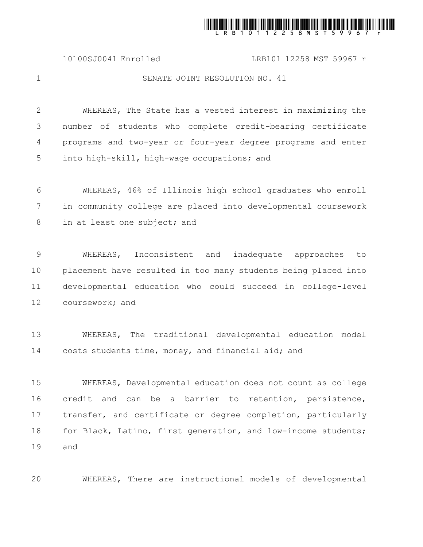

10100SJ0041 Enrolled LRB101 12258 MST 59967 r

1

20

## SENATE JOINT RESOLUTION NO. 41

WHEREAS, The State has a vested interest in maximizing the number of students who complete credit-bearing certificate programs and two-year or four-year degree programs and enter into high-skill, high-wage occupations; and 2 3 4 5

WHEREAS, 46% of Illinois high school graduates who enroll in community college are placed into developmental coursework in at least one subject; and 6 7 8

WHEREAS, Inconsistent and inadequate approaches to placement have resulted in too many students being placed into developmental education who could succeed in college-level coursework; and 9 10 11 12

WHEREAS, The traditional developmental education model costs students time, money, and financial aid; and 13 14

WHEREAS, Developmental education does not count as college credit and can be a barrier to retention, persistence, transfer, and certificate or degree completion, particularly for Black, Latino, first generation, and low-income students; and 15 16 17 18 19

WHEREAS, There are instructional models of developmental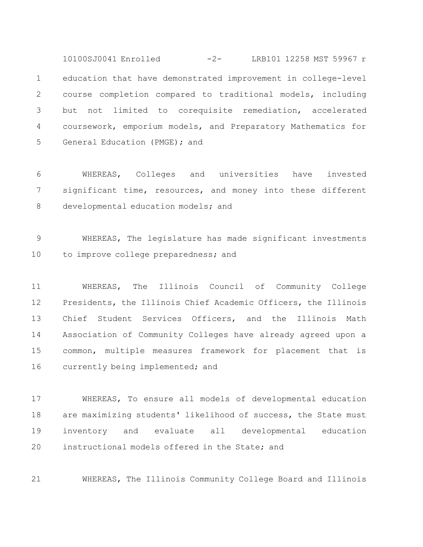education that have demonstrated improvement in college-level course completion compared to traditional models, including but not limited to corequisite remediation, accelerated coursework, emporium models, and Preparatory Mathematics for General Education (PMGE); and 1 2 3 4 5 10100SJ0041 Enrolled -2- LRB101 12258 MST 59967 r

WHEREAS, Colleges and universities have invested significant time, resources, and money into these different developmental education models; and 6 7 8

WHEREAS, The legislature has made significant investments to improve college preparedness; and 9 10

WHEREAS, The Illinois Council of Community College Presidents, the Illinois Chief Academic Officers, the Illinois Chief Student Services Officers, and the Illinois Math Association of Community Colleges have already agreed upon a common, multiple measures framework for placement that is currently being implemented; and 11 12 13 14 15 16

WHEREAS, To ensure all models of developmental education are maximizing students' likelihood of success, the State must inventory and evaluate all developmental education instructional models offered in the State; and 17 18 19 20

WHEREAS, The Illinois Community College Board and Illinois 21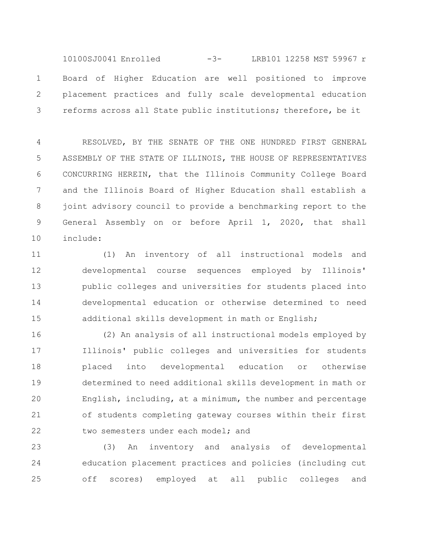Board of Higher Education are well positioned to improve placement practices and fully scale developmental education reforms across all State public institutions; therefore, be it 1 2 3 10100SJ0041 Enrolled -3- LRB101 12258 MST 59967 r

RESOLVED, BY THE SENATE OF THE ONE HUNDRED FIRST GENERAL ASSEMBLY OF THE STATE OF ILLINOIS, THE HOUSE OF REPRESENTATIVES CONCURRING HEREIN, that the Illinois Community College Board and the Illinois Board of Higher Education shall establish a joint advisory council to provide a benchmarking report to the General Assembly on or before April 1, 2020, that shall include: 4 5 6 7 8 9 10

(1) An inventory of all instructional models and developmental course sequences employed by Illinois' public colleges and universities for students placed into developmental education or otherwise determined to need additional skills development in math or English; 11 12 13 14 15

(2) An analysis of all instructional models employed by Illinois' public colleges and universities for students placed into developmental education or otherwise determined to need additional skills development in math or English, including, at a minimum, the number and percentage of students completing gateway courses within their first two semesters under each model; and 16 17 18 19 20 21 22

(3) An inventory and analysis of developmental education placement practices and policies (including cut off scores) employed at all public colleges and 23 24 25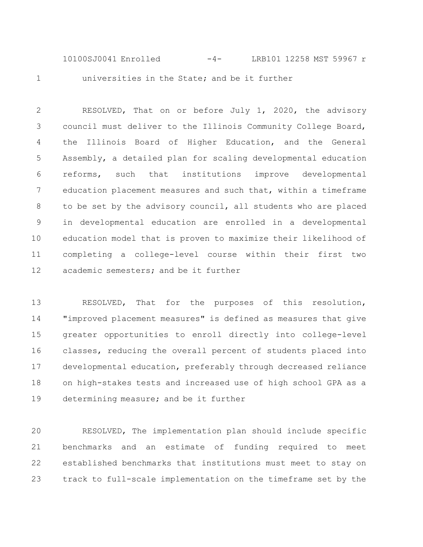universities in the State; and be it further 10100SJ0041 Enrolled -4- LRB101 12258 MST 59967 r

1

RESOLVED, That on or before July 1, 2020, the advisory council must deliver to the Illinois Community College Board, the Illinois Board of Higher Education, and the General Assembly, a detailed plan for scaling developmental education reforms, such that institutions improve developmental education placement measures and such that, within a timeframe to be set by the advisory council, all students who are placed in developmental education are enrolled in a developmental education model that is proven to maximize their likelihood of completing a college-level course within their first two academic semesters; and be it further 2 3 4 5 6 7 8 9 10 11 12

RESOLVED, That for the purposes of this resolution, "improved placement measures" is defined as measures that give greater opportunities to enroll directly into college-level classes, reducing the overall percent of students placed into developmental education, preferably through decreased reliance on high-stakes tests and increased use of high school GPA as a determining measure; and be it further 13 14 15 16 17 18 19

RESOLVED, The implementation plan should include specific benchmarks and an estimate of funding required to meet established benchmarks that institutions must meet to stay on track to full-scale implementation on the timeframe set by the 20 21 22 23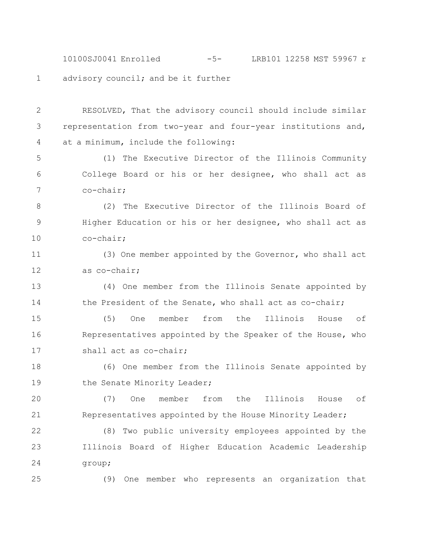advisory council; and be it further 10100SJ0041 Enrolled -5- LRB101 12258 MST 59967 r

RESOLVED, That the advisory council should include similar representation from two-year and four-year institutions and, at a minimum, include the following: 2 3 4

(1) The Executive Director of the Illinois Community College Board or his or her designee, who shall act as co-chair; 5 6 7

(2) The Executive Director of the Illinois Board of Higher Education or his or her designee, who shall act as co-chair; 8 9 10

(3) One member appointed by the Governor, who shall act as co-chair; 11 12

(4) One member from the Illinois Senate appointed by the President of the Senate, who shall act as co-chair; 13 14

(5) One member from the Illinois House of Representatives appointed by the Speaker of the House, who shall act as co-chair; 15 16 17

(6) One member from the Illinois Senate appointed by the Senate Minority Leader; 18 19

(7) One member from the Illinois House of Representatives appointed by the House Minority Leader; 20 21

(8) Two public university employees appointed by the Illinois Board of Higher Education Academic Leadership group; 22 23 24

25

1

(9) One member who represents an organization that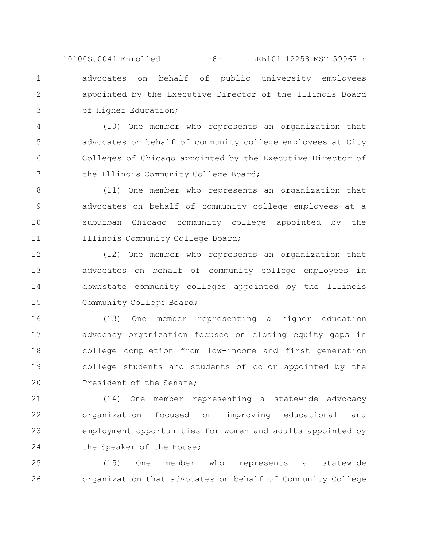advocates on behalf of public university employees appointed by the Executive Director of the Illinois Board of Higher Education; 10100SJ0041 Enrolled -6- LRB101 12258 MST 59967 r

1

2

3

(10) One member who represents an organization that advocates on behalf of community college employees at City Colleges of Chicago appointed by the Executive Director of the Illinois Community College Board; 4 5 6 7

(11) One member who represents an organization that advocates on behalf of community college employees at a suburban Chicago community college appointed by the Illinois Community College Board; 8 9 10 11

(12) One member who represents an organization that advocates on behalf of community college employees in downstate community colleges appointed by the Illinois Community College Board; 12 13 14 15

(13) One member representing a higher education advocacy organization focused on closing equity gaps in college completion from low-income and first generation college students and students of color appointed by the President of the Senate; 16 17 18 19 20

(14) One member representing a statewide advocacy organization focused on improving educational and employment opportunities for women and adults appointed by the Speaker of the House; 21 22 23 24

(15) One member who represents a statewide organization that advocates on behalf of Community College 25 26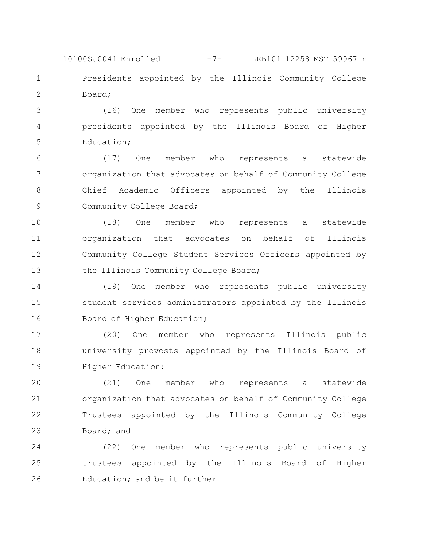Presidents appointed by the Illinois Community College Board; 1 2 10100SJ0041 Enrolled -7- LRB101 12258 MST 59967 r

(16) One member who represents public university presidents appointed by the Illinois Board of Higher Education; 3 4 5

(17) One member who represents a statewide organization that advocates on behalf of Community College Chief Academic Officers appointed by the Illinois Community College Board; 6 7 8 9

(18) One member who represents a statewide organization that advocates on behalf of Illinois Community College Student Services Officers appointed by the Illinois Community College Board; 10 11 12 13

(19) One member who represents public university student services administrators appointed by the Illinois Board of Higher Education; 14 15 16

(20) One member who represents Illinois public university provosts appointed by the Illinois Board of Higher Education; 17 18 19

(21) One member who represents a statewide organization that advocates on behalf of Community College Trustees appointed by the Illinois Community College Board; and 20 21 22 23

(22) One member who represents public university trustees appointed by the Illinois Board of Higher Education; and be it further 24 25 26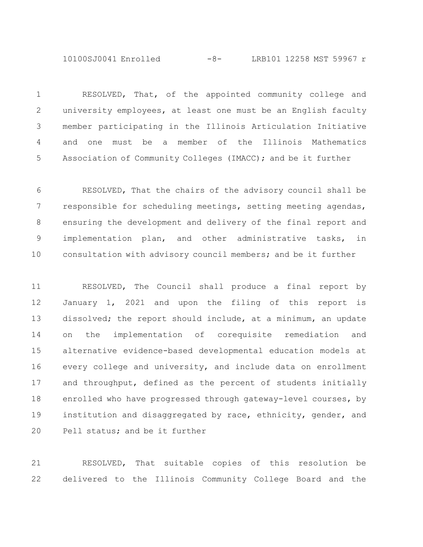10100SJ0041 Enrolled -8- LRB101 12258 MST 59967 r

RESOLVED, That, of the appointed community college and university employees, at least one must be an English faculty member participating in the Illinois Articulation Initiative and one must be a member of the Illinois Mathematics Association of Community Colleges (IMACC); and be it further 1 2 3 4 5

RESOLVED, That the chairs of the advisory council shall be responsible for scheduling meetings, setting meeting agendas, ensuring the development and delivery of the final report and implementation plan, and other administrative tasks, in consultation with advisory council members; and be it further 6 7 8 9 10

RESOLVED, The Council shall produce a final report by January 1, 2021 and upon the filing of this report is dissolved; the report should include, at a minimum, an update on the implementation of corequisite remediation and alternative evidence-based developmental education models at every college and university, and include data on enrollment and throughput, defined as the percent of students initially enrolled who have progressed through gateway-level courses, by institution and disaggregated by race, ethnicity, gender, and Pell status; and be it further 11 12 13 14 15 16 17 18 19 20

RESOLVED, That suitable copies of this resolution be delivered to the Illinois Community College Board and the 21 22